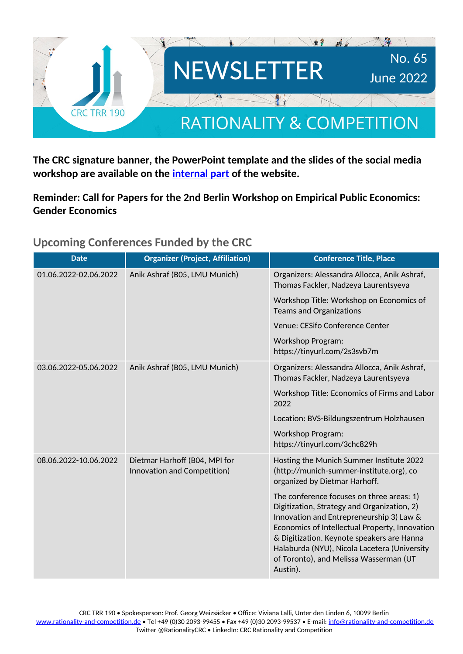

**The CRC signature banner, the PowerPoint template and the slides of the social media workshop are available on the [internal part](https://rationality-and-competition.de/internal/) of the website.**

**Reminder: Call for Papers for the 2nd Berlin Workshop on Empirical Public Economics: Gender Economics**

**Upcoming Conferences Funded by the CRC**

| <b>Date</b>           | <b>Organizer (Project, Affiliation)</b>                      | <b>Conference Title, Place</b>                                                                                                                                                                                                                                                                                                             |
|-----------------------|--------------------------------------------------------------|--------------------------------------------------------------------------------------------------------------------------------------------------------------------------------------------------------------------------------------------------------------------------------------------------------------------------------------------|
| 01.06.2022-02.06.2022 | Anik Ashraf (B05, LMU Munich)                                | Organizers: Alessandra Allocca, Anik Ashraf,<br>Thomas Fackler, Nadzeya Laurentsyeva                                                                                                                                                                                                                                                       |
|                       |                                                              | Workshop Title: Workshop on Economics of<br><b>Teams and Organizations</b>                                                                                                                                                                                                                                                                 |
|                       |                                                              | Venue: CESifo Conference Center                                                                                                                                                                                                                                                                                                            |
|                       |                                                              | <b>Workshop Program:</b><br>https://tinyurl.com/2s3svb7m                                                                                                                                                                                                                                                                                   |
| 03.06.2022-05.06.2022 | Anik Ashraf (B05, LMU Munich)                                | Organizers: Alessandra Allocca, Anik Ashraf,<br>Thomas Fackler, Nadzeya Laurentsyeva                                                                                                                                                                                                                                                       |
|                       |                                                              | Workshop Title: Economics of Firms and Labor<br>2022                                                                                                                                                                                                                                                                                       |
|                       |                                                              | Location: BVS-Bildungszentrum Holzhausen                                                                                                                                                                                                                                                                                                   |
|                       |                                                              | <b>Workshop Program:</b><br>https://tinyurl.com/3chc829h                                                                                                                                                                                                                                                                                   |
| 08.06.2022-10.06.2022 | Dietmar Harhoff (B04, MPI for<br>Innovation and Competition) | Hosting the Munich Summer Institute 2022<br>(http://munich-summer-institute.org), co<br>organized by Dietmar Harhoff.                                                                                                                                                                                                                      |
|                       |                                                              | The conference focuses on three areas: 1)<br>Digitization, Strategy and Organization, 2)<br>Innovation and Entrepreneurship 3) Law &<br>Economics of Intellectual Property, Innovation<br>& Digitization. Keynote speakers are Hanna<br>Halaburda (NYU), Nicola Lacetera (University<br>of Toronto), and Melissa Wasserman (UT<br>Austin). |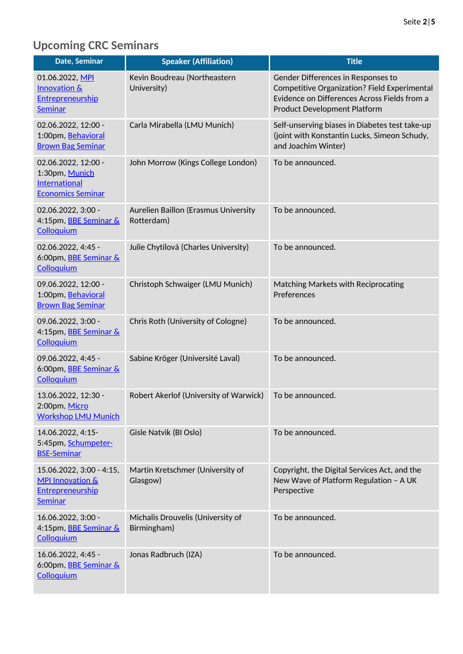# **Upcoming CRC Seminars**

| Date, Seminar                                                                          | <b>Speaker (Affiliation)</b>                       | <b>Title</b>                                                                                                                                                              |
|----------------------------------------------------------------------------------------|----------------------------------------------------|---------------------------------------------------------------------------------------------------------------------------------------------------------------------------|
| 01.06.2022, MPI<br><b>Innovation &amp;</b><br>Entrepreneurship<br><b>Seminar</b>       | Kevin Boudreau (Northeastern<br>University)        | Gender Differences in Responses to<br>Competitive Organization? Field Experimental<br>Evidence on Differences Across Fields from a<br><b>Product Development Platform</b> |
| 02.06.2022, 12:00 -<br>1:00pm, Behavioral<br><b>Brown Bag Seminar</b>                  | Carla Mirabella (LMU Munich)                       | Self-unserving biases in Diabetes test take-up<br>(joint with Konstantin Lucks, Simeon Schudy,<br>and Joachim Winter)                                                     |
| 02.06.2022, 12:00 -<br>1:30pm, Munich<br>International<br><b>Economics Seminar</b>     | John Morrow (Kings College London)                 | To be announced.                                                                                                                                                          |
| 02.06.2022, 3:00 -<br>4:15pm, BBE Seminar &<br>Colloquium                              | Aurelien Baillon (Erasmus University<br>Rotterdam) | To be announced.                                                                                                                                                          |
| 02.06.2022, 4:45 -<br>6:00pm, BBE Seminar &<br>Colloquium                              | Julie Chytilová (Charles University)               | To be announced.                                                                                                                                                          |
| 09.06.2022, 12:00 -<br>1:00pm, Behavioral<br><b>Brown Bag Seminar</b>                  | Christoph Schwaiger (LMU Munich)                   | Matching Markets with Reciprocating<br>Preferences                                                                                                                        |
| 09.06.2022, 3:00 -<br>4:15pm, BBE Seminar &<br>Colloquium                              | Chris Roth (University of Cologne)                 | To be announced.                                                                                                                                                          |
| 09.06.2022, 4:45 -<br>6:00pm, <b>BBE Seminar &amp;</b><br>Colloquium                   | Sabine Kröger (Université Laval)                   | To be announced.                                                                                                                                                          |
| 13.06.2022, 12:30 -<br>2:00pm, Micro<br><b>Workshop LMU Munich</b>                     | Robert Akerlof (University of Warwick)             | To be announced.                                                                                                                                                          |
| 14.06.2022, 4:15-<br>5:45pm, Schumpeter-<br><b>BSE-Seminar</b>                         | Gisle Natvik (BI Oslo)                             | To be announced.                                                                                                                                                          |
| 15.06.2022, 3:00 - 4:15,<br><b>MPI Innovation &amp;</b><br>Entrepreneurship<br>Seminar | Martin Kretschmer (University of<br>Glasgow)       | Copyright, the Digital Services Act, and the<br>New Wave of Platform Regulation - A UK<br>Perspective                                                                     |
| 16.06.2022, 3:00 -<br>4:15pm, BBE Seminar &<br>Colloquium                              | Michalis Drouvelis (University of<br>Birmingham)   | To be announced.                                                                                                                                                          |
| 16.06.2022, 4:45 -<br>6:00pm, <b>BBE Seminar &amp;</b><br>Colloquium                   | Jonas Radbruch (IZA)                               | To be announced.                                                                                                                                                          |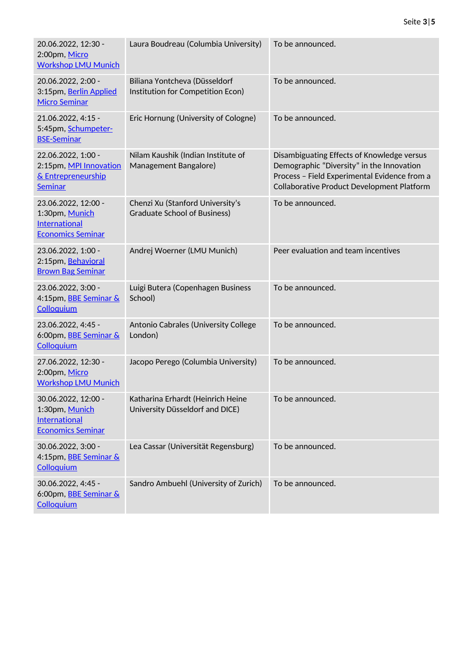| 20.06.2022, 12:30 -<br>2:00pm, Micro<br><b>Workshop LMU Munich</b>                        | Laura Boudreau (Columbia University)                                 | To be announced.                                                                                                                                                                      |
|-------------------------------------------------------------------------------------------|----------------------------------------------------------------------|---------------------------------------------------------------------------------------------------------------------------------------------------------------------------------------|
| 20.06.2022, 2:00 -<br>3:15pm, Berlin Applied<br><b>Micro Seminar</b>                      | Biliana Yontcheva (Düsseldorf<br>Institution for Competition Econ)   | To be announced.                                                                                                                                                                      |
| 21.06.2022, 4:15 -<br>5:45pm, Schumpeter-<br><b>BSE-Seminar</b>                           | Eric Hornung (University of Cologne)                                 | To be announced.                                                                                                                                                                      |
| 22.06.2022, 1:00 -<br>2:15pm, MPI Innovation<br>& Entrepreneurship<br><b>Seminar</b>      | Nilam Kaushik (Indian Institute of<br>Management Bangalore)          | Disambiguating Effects of Knowledge versus<br>Demographic "Diversity" in the Innovation<br>Process - Field Experimental Evidence from a<br>Collaborative Product Development Platform |
| 23.06.2022, 12:00 -<br>1:30pm, Munich<br><b>International</b><br><b>Economics Seminar</b> | Chenzi Xu (Stanford University's<br>Graduate School of Business)     | To be announced.                                                                                                                                                                      |
| 23.06.2022, 1:00 -<br>2:15pm, Behavioral<br><b>Brown Bag Seminar</b>                      | Andrej Woerner (LMU Munich)                                          | Peer evaluation and team incentives                                                                                                                                                   |
| 23.06.2022, 3:00 -<br>4:15pm, <b>BBE Seminar &amp;</b><br>Colloquium                      | Luigi Butera (Copenhagen Business<br>School)                         | To be announced.                                                                                                                                                                      |
| 23.06.2022, 4:45 -<br>6:00pm, <b>BBE Seminar &amp;</b><br>Colloquium                      | Antonio Cabrales (University College<br>London)                      | To be announced.                                                                                                                                                                      |
| 27.06.2022, 12:30 -<br>2:00pm, Micro<br><b>Workshop LMU Munich</b>                        | Jacopo Perego (Columbia University)                                  | To be announced.                                                                                                                                                                      |
| 30.06.2022, 12:00 -<br>1:30pm, Munich<br><b>International</b><br><b>Economics Seminar</b> | Katharina Erhardt (Heinrich Heine<br>University Düsseldorf and DICE) | To be announced.                                                                                                                                                                      |
| 30.06.2022, 3:00 -<br>4:15pm, <b>BBE Seminar &amp;</b><br>Colloquium                      | Lea Cassar (Universität Regensburg)                                  | To be announced.                                                                                                                                                                      |
| 30.06.2022, 4:45 -<br>6:00pm, BBE Seminar &<br>Colloquium                                 | Sandro Ambuehl (University of Zurich)                                | To be announced.                                                                                                                                                                      |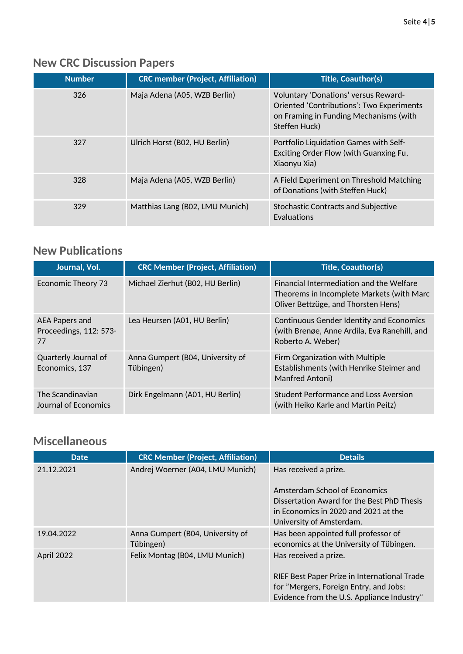## **New CRC Discussion Papers**

| <b>Number</b> | <b>CRC member (Project, Affiliation)</b> | Title, Coauthor(s)                                                                                                                                  |
|---------------|------------------------------------------|-----------------------------------------------------------------------------------------------------------------------------------------------------|
| 326           | Maja Adena (A05, WZB Berlin)             | Voluntary 'Donations' versus Reward-<br><b>Oriented 'Contributions': Two Experiments</b><br>on Framing in Funding Mechanisms (with<br>Steffen Huck) |
| 327           | Ulrich Horst (B02, HU Berlin)            | Portfolio Liquidation Games with Self-<br>Exciting Order Flow (with Guanxing Fu,<br>Xiaonyu Xia)                                                    |
| 328           | Maja Adena (A05, WZB Berlin)             | A Field Experiment on Threshold Matching<br>of Donations (with Steffen Huck)                                                                        |
| 329           | Matthias Lang (B02, LMU Munich)          | <b>Stochastic Contracts and Subjective</b><br><b>Evaluations</b>                                                                                    |

#### **New Publications**

| Journal, Vol.                                  | <b>CRC Member (Project, Affiliation)</b>      | <b>Title, Coauthor(s)</b>                                                                                                    |
|------------------------------------------------|-----------------------------------------------|------------------------------------------------------------------------------------------------------------------------------|
| Economic Theory 73                             | Michael Zierhut (B02, HU Berlin)              | Financial Intermediation and the Welfare<br>Theorems in Incomplete Markets (with Marc<br>Oliver Bettzüge, and Thorsten Hens) |
| AEA Papers and<br>Proceedings, 112: 573-<br>77 | Lea Heursen (A01, HU Berlin)                  | <b>Continuous Gender Identity and Economics</b><br>(with Brenøe, Anne Ardila, Eva Ranehill, and<br>Roberto A. Weber)         |
| Quarterly Journal of<br>Economics, 137         | Anna Gumpert (B04, University of<br>Tübingen) | Firm Organization with Multiple<br>Establishments (with Henrike Steimer and<br>Manfred Antoni)                               |
| The Scandinavian<br>Journal of Economics       | Dirk Engelmann (A01, HU Berlin)               | <b>Student Performance and Loss Aversion</b><br>(with Heiko Karle and Martin Peitz)                                          |

### **Miscellaneous**

| <b>Date</b> | <b>CRC Member (Project, Affiliation)</b> | <b>Details</b>                                                                         |
|-------------|------------------------------------------|----------------------------------------------------------------------------------------|
| 21.12.2021  | Andrej Woerner (A04, LMU Munich)         | Has received a prize.                                                                  |
|             |                                          | Amsterdam School of Economics                                                          |
|             |                                          | Dissertation Award for the Best PhD Thesis                                             |
|             |                                          | in Fconomics in 2020 and 2021 at the<br>University of Amsterdam.                       |
| 19.04.2022  | Anna Gumpert (B04, University of         | Has been appointed full professor of                                                   |
|             | Tübingen)                                | economics at the University of Tübingen.                                               |
| April 2022  | Felix Montag (B04, LMU Munich)           | Has received a prize.                                                                  |
|             |                                          | RIEF Best Paper Prize in International Trade<br>for "Mergers, Foreign Entry, and Jobs: |
|             |                                          | Evidence from the U.S. Appliance Industry"                                             |